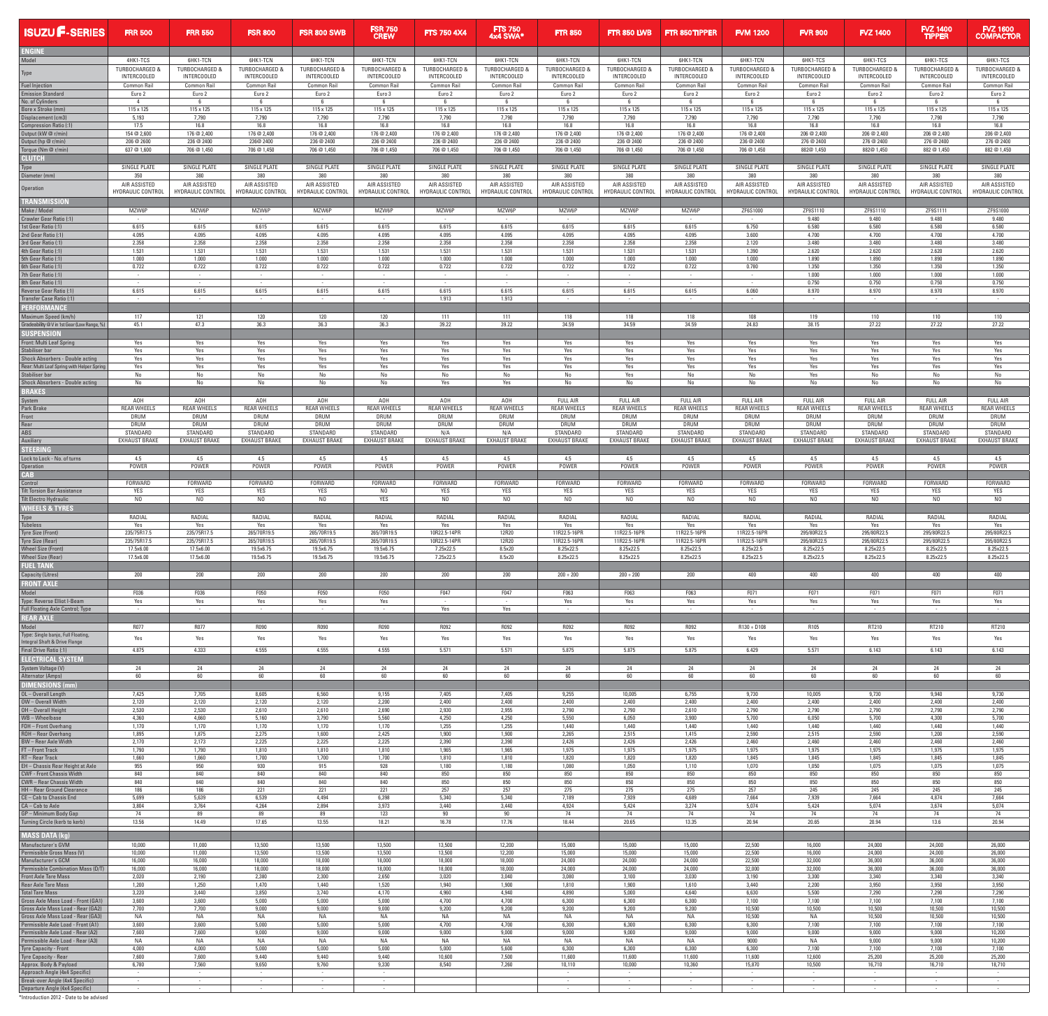| <b>ISUZU F-SERIES</b>                                            | <b>FRR 500</b>                                 | <b>FRR 550</b>                    | <b>FSR 800</b>                           | <b>FSR 800 SWB</b>                 | <b>FSR 750</b><br><b>CREW</b>       | <b>FTS 750 4X4</b>                | <b>FTS 750</b><br>4x4 SWA*               | <b>FTR 850</b>                    | <b>FTR 850 LWB</b>                       | <b>FTR 850 TIPPER</b>             | <b>FVM 1200</b>                     | <b>FVR 900</b>                    | <b>FVZ 1400</b>                          | <b>FVZ 1400</b><br><b>TIPPER</b>         | <b>FVZ 1600</b><br><b>COMPACTOR</b> |
|------------------------------------------------------------------|------------------------------------------------|-----------------------------------|------------------------------------------|------------------------------------|-------------------------------------|-----------------------------------|------------------------------------------|-----------------------------------|------------------------------------------|-----------------------------------|-------------------------------------|-----------------------------------|------------------------------------------|------------------------------------------|-------------------------------------|
| EMEINE                                                           |                                                |                                   |                                          |                                    |                                     |                                   |                                          |                                   |                                          |                                   |                                     |                                   |                                          |                                          |                                     |
| Model                                                            | 4HK1-TCS                                       | 6HK1-TCN                          | 6HK1-TCN                                 | 6HK1-TCN                           | 6HK1-TCN                            | 6HK1-TCN                          | 6HK1-TCN                                 | 6HK1-TCN                          | 6HK1-TCN                                 | 6HK1-TCN                          | 6HK1-TCN                            | 6HK1-TCS                          | 6HK1-TCS                                 | 6HK1-TCS                                 | 6HK1-TCS                            |
|                                                                  | <b>TURBOCHARGED &amp;</b>                      | TURBOCHARGED &                    | TURBOCHARGED &                           | <b>TURBOCHARGED &amp;</b>          | TURBOCHARGED &                      | <b>TURBOCHARGED &amp;</b>         | TURBOCHARGED &                           | <b>TURBOCHARGED &amp;</b>         | TURBOCHARGED &                           | <b>TURBOCHARGED &amp;</b>         | <b>TURBOCHARGED &amp;</b>           | <b>TURBOCHARGED 8</b>             | <b>TURBOCHARGED &amp;</b>                | <b>TURBOCHARGED &amp;</b>                | <b>TURBOCHARGED &amp;</b>           |
| lype                                                             | INTERCOOLED                                    | <b>INTERCOOLED</b>                | <b>INTERCOOLED</b><br><b>Common Rail</b> | <b>INTERCOOLED</b>                 | <b>INTERCOOLED</b>                  | <b>INTERCOOLED</b>                | <b>INTERCOOLED</b><br><b>Common Rail</b> | INTERCOOLED                       | <b>INTERCOOLED</b><br><b>Common Rail</b> | <b>INTERCOOLED</b><br>Common Rail | <b>INTERCOOLED</b>                  | <b>INTERCOOLED</b>                | <b>INTERCOOLED</b><br><b>Common Rail</b> | <b>INTERCOOLED</b><br><b>Common Rail</b> | <b>INTERCOOLED</b>                  |
| <b>Fuel Injection</b><br><b>Emission Standard</b>                | <b>Common Rail</b><br>Euro 2<br>$\overline{4}$ | <b>Common Rail</b><br>Euro 2<br>6 | Euro 2<br>- 6                            | <b>Common Rail</b><br>Euro 2<br>ჩ. | <b>Common Rail</b><br>Euro 3<br>- 6 | <b>Common Rail</b><br>Euro 2<br>6 | Euro 2<br>- 6                            | <b>Common Rail</b><br>Euro 2<br>6 | Euro 2<br>6                              | Euro 2<br>6                       | <b>Common Rail</b><br>Euro 2<br>- 6 | <b>Common Rail</b><br>Euro 2<br>6 | Euro 2                                   | Euro 2<br>- 6                            | <b>Common Rail</b><br>Euro 2<br>6   |
| No. of Cylinders<br>Bore x Stroke (mm)                           | 115 x 125                                      | 115 x 125                         | 115 x 125                                | 115 x 125                          | 115 x 125                           | 115 x 125                         | 115 x 125                                | 115 x 125                         | 115 x 125                                | 115 x 125                         | 115 x 125                           | 115 x 125                         | 6<br>115 x 125                           | 115 x 125                                | 115 x 125                           |
| Displacement (cm3)                                               | 5,193                                          | 7,790                             | 7,790                                    | 7,790                              | 7,790                               | 7,790                             | 7,790                                    | 7,790                             | 7,790                                    | 7,790                             | 7,790                               | 7,790                             | 7,790                                    | 7,790                                    | 7,790                               |
| <b>Compression Ratio (:1)</b>                                    | 17.5                                           | 16.8                              | 16.8                                     | 16.8                               | 16.8                                | 16.8                              | 16.8                                     | 16.8                              | 16.8                                     | 16.8                              | 16.8                                | 16.8                              | 16.8                                     | 16.8                                     | 16.8                                |
| Output (kW @ r/min)                                              | 154 @ 2,600                                    | 176 @ 2,400                       | 176 @ 2,400                              | 176 @ 2,400                        | 176 @ 2,400                         | 176 @ 2,400                       | 176 @ 2,400                              | 176 @ 2,400                       | 176 @ 2,400                              | 176 @ 2,400                       | 176 @ 2,400                         | 206 @ 2,400                       | 206 @ 2,400                              | 206 @ 2,400                              | 206 @ 2,400                         |
| Output (hp @ r/min)                                              | 206 @ 2600                                     | 236 @ 2400                        | 236@ 2400                                | 236 @ 2400                         | 236 @ 2400                          | 236 @ 2400                        | 236 @ 2400                               | 236 @ 2400                        | 236 @ 2400                               | 236 @ 2400                        | 236 @ 2400                          | 276 @ 2400                        | 276 @ 2400                               | 276 @ 2400                               | 276 @ 2400                          |
| Torque (Nm @ r/min)<br>CLUTCH                                    | 637 @ 1,600                                    | 706 @ 1.450                       | 706 @ 1,450                              | 706 @ 1,450                        | 706 @ 1,450                         | 706 @ 1,450                       | 706 @ 1,450                              | 706 @ 1,450                       | 706 @ 1,450                              | 706 @ 1.450                       | 706 @ 1,450                         | 882@ 1.450                        | 882@1,450                                | 882 @ 1.450                              | 882 @ 1,450                         |
| Type                                                             | SINGLE PLATE                                   | SINGLE PLATE                      | SINGLE PLATE                             | SINGLE PLATE                       | SINGLE PLATE                        | SINGLE PLATE                      | SINGLE PLATE                             | SINGLE PLATE                      | SINGLE PLATE                             | SINGLE PLATE                      | SINGLE PLATE                        | SINGLE PLATE                      | SINGLE PLATE                             | SINGLE PLATE                             | SINGLE PLATE                        |
| Diameter (mm)                                                    | 350                                            | 380                               | 380                                      | 380                                | 380                                 | 380                               | 380                                      | 380                               | 380                                      | 380                               | 380                                 | 380                               | 380                                      | 380                                      | 380                                 |
| <b>Operation</b>                                                 | AIR ASSISTED                                   | AIR ASSISTED                      | AIR ASSISTED                             | AIR ASSISTED                       | AIR ASSISTED                        | AIR ASSISTED                      | AIR ASSISTED                             | AIR ASSISTED                      | AIR ASSISTED                             | AIR ASSISTED                      | AIR ASSISTED                        | AIR ASSISTED                      | AIR ASSISTED                             | AIR ASSISTED                             | AIR ASSISTED                        |
|                                                                  | <b>HYDRAULIC CONTROL</b>                       | HYDRAULIC CONTROL                 | <b>HYDRAULIC CONTROL</b>                 | HYDRAULIC CONTROL                  | <b>HYDRAULIC CONTROL</b>            | <b>HYDRAULIC CONTROL</b>          | <b>HYDRAULIC CONTROL</b>                 | <b>HYDRAULIC CONTROL</b>          | <b>HYDRAULIC CONTROL</b>                 | <b>HYDRAULIC CONTROL</b>          | HYDRAULIC CONTROL                   | <b>HYDRAULIC CONTROL</b>          | <b>HYDRAULIC CONTROL</b>                 | <b>HYDRAULIC CONTROL</b>                 | HYDRAULIC CONTROL                   |
| TRANSMISSION                                                     |                                                |                                   |                                          |                                    |                                     |                                   |                                          |                                   |                                          |                                   |                                     |                                   |                                          |                                          |                                     |
| Make / Model                                                     | MZW6P                                          | MZW6P                             | MZW6P                                    | MZW6P                              | MZW6P                               | MZW6P                             | MZW6P                                    | MZW6P                             | MZW6P                                    | MZW6P                             | ZF6S1000                            | ZF9S1110                          | ZF9S1110                                 | ZF9S1111                                 | ZF9S1000                            |
| Crawler Gear Ratio (:1)                                          | $\sim$ $-$                                     | $\sim$ $-$                        | $\sim$                                   | $\sim$                             | $\sim$                              | $\sim$                            | $\overline{\phantom{a}}$                 | $\sim$                            | $\sim$                                   | $\sim$                            | $\sim$                              | 9.480                             | 9.480                                    | 9.480                                    | 9.480                               |
| 1st Gear Ratio (:1)                                              | 6.615                                          | 6.615                             | 6.615                                    | 6.615                              | 6.615                               | 6.615                             | 6.615                                    | 6.615                             | 6.615                                    | 6.615                             | 6.750                               | 6.580                             | 6.580                                    | 6.580                                    | 6.580                               |
| 2nd Gear Ratio (:1)                                              | 4.095                                          | 4.095                             | 4.095                                    | 4.095                              | 4.095                               | 4.095                             | 4.095                                    | 4.095                             | 4.095                                    | 4.095                             | 3.600                               | 4.700                             | 4.700                                    | 4.700                                    | 4.700                               |
| 3rd Gear Ratio (:1)                                              | 2.358                                          | 2.358                             | 2.358                                    | 2.358                              | 2.358                               | 2.358                             | 2.358                                    | 2.358                             | 2.358                                    | 2.358                             | 2.120                               | 3.480                             | 3.480                                    | 3.480                                    | 3.480                               |
| 4th Gear Ratio (:1)                                              | 1.531                                          | 1.531                             | 1.531                                    | 1.531                              | 1.531                               | 1.531                             | 1.531                                    | 1.531                             | 1.531                                    | 1.531                             | 1.390                               | 2.620                             | 2.620                                    | 2.620                                    | 2.620                               |
| 5th Gear Ratio (:1)                                              | 1.000                                          | 1.000                             | 1.000                                    | 1.000                              | 1.000                               | 1.000                             | 1.000                                    | 1.000                             | 1.000                                    | 1.000                             | 1.000                               | 1.890                             | 1.890                                    | 1.890                                    | 1.890                               |
| 6th Gear Ratio (:1)                                              | 0.722                                          | 0.722                             | 0.722                                    | 0.722                              | 0.722                               | 0.722                             | 0.722                                    | 0.722                             | 0.722                                    | 0.722                             | 0.780                               | 1.350                             | 1.350                                    | 1.350                                    | 1.350                               |
| 7th Gear Ratio (:1)                                              | $\sim$ 100 $\mu$                               | $\sim$ $-$                        | $\sim$ 100 $\mu$                         | $\sim 100$                         | $\sim$                              | $\sim$ $-$                        | $\sim$                                   | $\sim 100$                        | $\sim$ $-$                               | $\sim$ $-$                        | $\sim$ $-$                          | 1.000                             | 1.000                                    | 1.000                                    | 1.000                               |
| 8th Gear Ratio (:1)                                              | $\sim$                                         | $\sim$                            | $\sim$                                   | $\sim$                             |                                     | $\sim$                            | $\sim$                                   | $\sim$                            | $\sim$                                   | $\sim$                            | $\sim$                              | 0.750                             | 0.750                                    | 0.750                                    | 0.750                               |
| Reverse Gear Ratio (:1)<br>Transfer Case Ratio (:1)              | 6.615<br>$\sim$                                | 6.615<br>$\sim$                   | 6.615<br>$\sim$                          | 6.615<br>$\sim$                    | 6.615                               | 6.615<br>1.913                    | 6.615<br>1.913                           | 6.615<br>$\sim$                   | 6.615<br>$\sim$                          | 6.615<br>$\sim$                   | 6.060<br>$\sim$                     | 8.970<br>$\sim$                   | 8.970<br>$\sim$                          | 8.970                                    | 8.970<br>$\sim$                     |
| <b>PERFORMANCE</b><br>Maximum Speed (km/h)                       | 117                                            | 121                               | 120                                      | 120                                | 120                                 | 111                               | 111                                      | 118                               | 118                                      | 118                               | 108                                 | 119                               | 110                                      | 110                                      | 110                                 |
| Gradeability @ V in 1st Gear (Low Range, %)<br>SUSPENSION        | 45.1                                           | 47.3                              | 36.3                                     | 36.3                               | 36.3                                | 39.22                             | 39.22                                    | 34.59                             | 34.59                                    | 34.59                             | 24.83                               | 38.15                             | 27.22                                    | 27.22                                    | 27.22                               |
| <b>Front: Multi Leaf Spring</b>                                  | Yes                                            | Yes                               | Yes                                      | Yes                                | Yes                                 | Yes                               | Yes                                      | Yes                               | Yes                                      | Yes                               | Yes                                 | Yes                               | Yes                                      | Yes                                      | Yes                                 |
| Stabiliser bar                                                   | Yes                                            | Yes                               | Yes                                      | Yes                                | Yes                                 | Yes                               | Yes                                      | Yes                               | Yes                                      | Yes                               | Yes                                 | Yes                               | Yes                                      | Yes                                      | Yes                                 |
| Shock Absorbers - Double acting                                  | Yes                                            | Yes                               | Yes                                      | Yes                                | Yes                                 | Yes                               | Yes                                      | Yes                               | Yes                                      | Yes                               | Yes                                 | Yes                               | Yes                                      | Yes                                      | Yes                                 |
| Rear: Multi Leaf Spring with Helper Spring                       | Yes                                            | Yes                               | Yes                                      | Yes                                | Yes                                 | Yes                               | Yes                                      | Yes                               | Yes                                      | Yes                               | Yes                                 | Yes                               | Yes                                      | Yes                                      | Yes                                 |
| Stabiliser bar                                                   | No                                             | No                                | No                                       | No                                 | No                                  | No                                | No                                       | No                                | Yes                                      | No                                | No                                  | Yes                               | No                                       | No                                       | No                                  |
| Shock Absorbers - Double acting                                  | No                                             | No                                | No                                       | No                                 | No                                  | Yes                               | Yes                                      | No                                | No                                       | No                                | No                                  | No                                | No                                       | No                                       | No                                  |
| <b>BRAKES</b>                                                    |                                                |                                   |                                          |                                    |                                     |                                   |                                          |                                   |                                          |                                   |                                     |                                   |                                          |                                          |                                     |
| System                                                           | A0H                                            | A0H                               | A0H                                      | A0H                                | AOH                                 | AOH                               | A0H                                      | <b>FULL AIR</b>                   | <b>FULL AIR</b>                          | <b>FULL AIR</b>                   | <b>FULL AIR</b>                     | <b>FULL AIR</b>                   | <b>FULL AIR</b>                          | <b>FULL AIR</b>                          | <b>FULL AIR</b>                     |
| Park Brake                                                       | <b>REAR WHEELS</b>                             | <b>REAR WHEELS</b>                | <b>REAR WHEELS</b>                       | <b>REAR WHEELS</b>                 | <b>REAR WHEELS</b>                  | <b>REAR WHEELS</b>                | <b>REAR WHEELS</b>                       | <b>REAR WHEELS</b>                | <b>REAR WHEELS</b>                       | <b>REAR WHEELS</b>                | <b>REAR WHEELS</b>                  | <b>REAR WHEELS</b>                | <b>REAR WHEELS</b>                       | <b>REAR WHEELS</b>                       | <b>REAR WHEELS</b>                  |
| Front                                                            | <b>DRUM</b>                                    | <b>DRUM</b>                       | DRUM                                     | DRUM                               | <b>DRUM</b>                         | <b>DRUM</b>                       | <b>DRUM</b>                              | DRUM                              | <b>DRUM</b>                              | DRUM                              | DRUM                                | <b>DRUM</b>                       | <b>DRUM</b>                              | <b>DRUM</b>                              | <b>DRUM</b>                         |
| Rear                                                             | <b>DRUM</b>                                    | <b>DRUM</b>                       | <b>DRUM</b>                              | <b>DRUM</b>                        | <b>DRUM</b>                         | <b>DRUM</b>                       | <b>DRUM</b>                              | <b>DRUM</b>                       | <b>DRUM</b>                              | <b>DRUM</b>                       | <b>DRUM</b>                         | <b>DRUM</b>                       | <b>DRUM</b>                              | <b>DRUM</b>                              | <b>DRUM</b>                         |
| <b>ABS</b>                                                       | STANDARD                                       | STANDARD                          | STANDARD                                 | STANDARD                           | STANDARD                            | N/A                               | N/A                                      | STANDARD                          | STANDARD                                 | STANDARD                          | STANDARD                            | STANDARD                          | STANDARD                                 | STANDARD                                 | STANDARD                            |
| Auxiliary                                                        | <b>EXHAUST BRAKE</b>                           | <b>EXHAUST BRAKE</b>              | <b>EXHAUST BRAKE</b>                     | <b>EXHAUST BRAKE</b>               | <b>EXHAUST BRAKE</b>                | <b>EXHAUST BRAKE</b>              | <b>EXHAUST BRAKE</b>                     | <b>EXHAUST BRAKE</b>              | <b>EXHAUST BRAKE</b>                     | <b>EXHAUST BRAKE</b>              | <b>EXHAUST BRAKE</b>                | <b>EXHAUST BRAKE</b>              | <b>EXHAUST BRAKE</b>                     | <b>EXHAUST BRAKE</b>                     | <b>EXHAUST BRAKE</b>                |
| STEERING<br>Lock to Lock - No. of turns                          | 4.5                                            | 4.5                               | 4.5                                      | 4.5                                | 4.5                                 | 4.5                               | 4.5                                      | 4.5                               | 4.5                                      | 4.5                               | 4.5                                 | 4.5                               | 4.5                                      | 4.5                                      | 4.5                                 |
| <b>Operation</b><br><b>CAB</b>                                   | POWER                                          | POWER                             | POWER                                    | POWER                              | POWER                               | POWER                             | POWER                                    | POWER                             | POWER                                    | POWER                             | <b>POWER</b>                        | POWER                             | POWER                                    | POWER                                    | POWER                               |
| Control                                                          | FORWARD                                        | FORWARD                           | <b>FORWARD</b>                           | <b>FORWARD</b>                     | FORWARD                             | FORWARD                           | FORWARD                                  | FORWARD                           | FORWARD                                  | FORWARD                           | <b>FORWARD</b>                      | <b>FORWARD</b>                    | FORWARD                                  | FORWARD                                  | FORWARD                             |
| <b>Tilt Torsion Bar Assistance</b>                               | YES                                            | YES                               | YES                                      | YES                                | N <sub>0</sub>                      | YES                               | YES                                      | YES                               | YES                                      | YES                               | YES                                 | YES                               | YES                                      | YES                                      | YES                                 |
| <b>Tilt Electro Hydraulic</b><br><b>WHEELS &amp; TYRES</b>       | N <sub>0</sub>                                 | N <sub>0</sub>                    | N <sub>0</sub>                           | N <sub>0</sub>                     | YES                                 | N <sub>0</sub>                    | N <sub>0</sub>                           | N0                                | N <sub>0</sub>                           | N <sub>0</sub>                    | N0                                  | N0                                | N <sub>0</sub>                           | N <sub>0</sub>                           | NO                                  |
| Type                                                             | RADIAL                                         | RADIAL                            | RADIAL                                   | RADIAL                             | RADIAL                              | RADIAL                            | RADIAL                                   | RADIAL                            | RADIAL                                   | RADIAL                            | RADIAL                              | RADIAL                            | RADIAL                                   | RADIAL                                   | RADIAL                              |
| <b>Tubeless</b>                                                  | Yes                                            | Yes                               | Yes                                      | Yes                                | Yes                                 | Yes                               | Yes                                      | Yes                               | Yes                                      | Yes                               | Yes                                 | Yes                               | Yes                                      | Yes                                      | Yes                                 |
| <b>Tyre Size (Front)</b>                                         | 235/75R17.5                                    | 235/75R17.5                       | 265/70R19.5                              | 265/70R19.5                        | 265/70R19.5                         | 10R22.5-14PR                      | 12R20                                    | 11R22.5-16PR                      | 11R22.5-16PR                             | 11R22.5-16PR                      | 11R22.5-16PR                        | 295/80R22.5                       | 295/80R22.5                              | 295/80R22.5                              | 295/80R22.5                         |
|                                                                  | 235/75R17.5                                    | 235/75R17.5                       | 265/70R19.5                              | 265/70R19.5                        | 265/70R19.5                         | 10R22.5-14PR                      | 12R20                                    | 11R22.5-16PR                      | 11R22.5-16PR                             | 11R22.5-16PR                      | 11R22.5-16PR                        | 295/80R22.5                       | 295/80R22.5                              | 295/80R22.5                              | 295/80R22.5                         |
| Tyre Size (Rear)                                                 | 17.5x6.00                                      | 17.5x6.00                         | 19.5x6.75                                | 19.5x6.75                          | 19.5x6.75                           | 7.25x22.5                         | 8.5x20                                   | 8.25x22.5                         | 8.25x22.5                                | 8.25x22.5                         | 8.25x22.5                           | 8.25x22.5                         | 8.25x22.5                                | 8.25x22.5                                | 8.25x22.5                           |
| <b>Wheel Size (Front)</b>                                        | 17.5x6.00                                      | 17.5x6.00                         | 19.5x6.75                                | 19.5x6.75                          | 19.5x6.75                           | 7.25x22.5                         | 8.5x20                                   | 8.25x22.5                         | 8.25x22.5                                | 8.25x22.5                         | 8.25x22.5                           | 8.25x22.5                         | 8.25x22.5                                | 8.25x22.5                                | 8.25x22.5                           |
| <b>Wheel Size (Rear)</b><br><b>FUEL TANK</b>                     |                                                |                                   |                                          |                                    |                                     |                                   |                                          |                                   |                                          |                                   |                                     |                                   |                                          |                                          |                                     |
| <b>Capacity (Litres)</b><br><b>FRONT AXLE</b>                    | 200                                            | 200                               | 200                                      | 200                                | 200                                 | 200                               | 200                                      | $200 + 200$                       | $200 + 200$                              | 200                               | 400                                 | 400                               | 400                                      | 400                                      | 400                                 |
| Model                                                            | F036                                           | F036                              | F050                                     | F050                               | F050                                | F047                              | F047                                     | F063                              | F063                                     | F063                              | F071                                | F071                              | F071                                     | F071                                     | F071                                |
| Type: Reverse Elliot I-Beam                                      | Yes                                            | Yes                               | Yes                                      | Yes                                | Yes                                 | $\sim 10^{-1}$                    | $\sim$                                   | Yes                               | Yes                                      | Yes                               | Yes                                 | Yes                               | Yes                                      | Yes                                      | Yes                                 |
| <b>Full Floating Axle Control; Type</b><br><b>REAR AXLE</b>      | $\sim$                                         | $\sim$                            |                                          | $\sim$                             |                                     | Yes                               | Yes                                      |                                   |                                          |                                   |                                     |                                   | $\sim$                                   |                                          |                                     |
| Model<br>Type: Single banjo, Full Floating,                      | R077                                           | R077                              | R090                                     | R090                               | R090                                | R092                              | R092                                     | R092                              | R092                                     | R092                              | $R130 + D108$                       | R <sub>105</sub>                  | RT210                                    | RT210                                    | RT210                               |
| Integral Shaft & Drive Flange                                    | Yes                                            | Yes                               | Yes                                      | Yes                                | Yes                                 | Yes                               | Yes                                      | Yes                               | Yes                                      | Yes                               | Yes                                 | Yes                               | Yes                                      | Yes                                      | Yes                                 |
| Final Drive Ratio (:1)                                           | 4.875                                          | 4.333                             | 4.555                                    | 4.555                              | 4.555                               | 5.571                             | 5.571                                    | 5.875                             | 5.875                                    | 5.875                             | 6.429                               | 5.571                             | 6.143                                    | 6.143                                    | 6.143                               |
| <b>ELECTRICAL SYSTEM</b><br>System Voltage (V)                   | 24                                             | 24                                | 24                                       | 24                                 | 24                                  | 24                                | 24                                       | 24                                | 24                                       | 24                                | 24                                  | 24                                | 24                                       | 24                                       | 24                                  |
| Alternator (Amps)<br><b>DIMENSIONS (mm</b>                       | 60                                             | 60                                | 60                                       | 60                                 | 60                                  | 60                                | 60                                       | 60                                | 60                                       | 60                                | 60                                  | 60                                | 60                                       | 60                                       | 60                                  |
| OL-Overall Length                                                | 7,425                                          | 7,705                             | 8,605                                    | 6,560                              | 9,155                               | 7,405                             | 7,405                                    | 9,255                             | 10.005                                   | 6,755                             | 9,730                               | 10,005                            | 9,730                                    | 9,940                                    | 9,730                               |
| OW-Overall Width                                                 | 2,120                                          | 2,120                             | 2,120                                    | 2,120                              | 2,200                               | 2,400                             | 2,400                                    | 2,400                             | 2,400                                    | 2,400                             | 2,400                               | 2,400                             | 2,400                                    | 2,400                                    | 2,400                               |
| OH-Overall Height                                                | 2,530                                          | 2,530                             | 2,610                                    | 2,610                              | 2,690                               | 2,930                             | 2,955                                    | 2,790                             | 2,790                                    | 2,610                             | 2,790                               | 2,790                             | 2,790                                    | 2,790                                    | 2,790                               |
| WB – Wheelbase                                                   | 4,360                                          | 4,660                             | 5,160                                    | 3,790                              | 5,560                               | 4,250                             | 4,250                                    | 5,550                             | 6,050                                    | 3,900                             | 5,700                               | 6,050                             | 5,700                                    | 4,300                                    | 5,700                               |
| FOH - Front Overhang                                             | 1,170                                          | 1,170                             | 1,170                                    | 1,170                              | 1,170                               | 1,255                             | 1,255                                    | 1,440                             | 1.440                                    | 1,440                             | 1,440                               | 1,440                             | 1.440                                    | 1,440                                    | 1,440                               |
| ROH - Rear Overhang                                              | 1,895                                          | 1,875                             | 2,275                                    | 1,600                              | 2,425                               | 1,900                             | 1,900                                    | 2,265                             | 2,515                                    | 1,415                             | 2,590                               | 2,515                             | 2,590                                    | 1,200                                    | 2,590                               |
| <b>BW</b> - Rear Axle Width                                      | 2,170                                          | 2,173                             | 2,225                                    | 2,225                              | 2,225                               | 2,390                             | 2,390                                    | 2,426                             | 2,426                                    | 2,426                             | 2,460                               | 2,460                             | 2,460                                    | 2,460                                    | 2,460                               |
| FT - Front Track                                                 | 1,790                                          | 1,790                             | 1,810                                    | 1,810                              | 1,810                               | 1,965                             | 1,965                                    | 1,975                             | 1,975                                    | 1,975                             | 1,975                               | 1,975                             | 1,975                                    | 1,975                                    | 1,975                               |
| RT – Rear Track                                                  | 1,660                                          | 1,660                             | 1,700                                    | 1,700                              | 1,700                               | 1,810                             | 1,810                                    | 1,820                             | 1,820                                    | 1,820                             | 1,845                               | 1,845                             | 1,845                                    | 1,845                                    | 1,845                               |
| EH - Chassis Rear Height at Axle                                 | 955                                            | 950                               | 930                                      | 915                                | 928                                 | 1,180                             | 1,180                                    | 1,080                             | 1,050                                    | 1,110                             | 1,070                               | 1,050                             | 1,075                                    | 1,075                                    | 1,075                               |
| <b>CWF - Front Chassis Width</b>                                 | 840                                            | 840                               | 840                                      | 840                                | 840                                 | 850                               | 850                                      | 850                               | 850                                      | 850                               | 850                                 | 850                               | 850                                      | 850                                      | 850                                 |
| <b>CWR-Rear Chassis Width</b>                                    | 840                                            | 840                               | 840                                      | 840                                | 840                                 | 850                               | 850                                      | 850                               | 850                                      | 850                               | 850                                 | 850                               | 850                                      | 850                                      | 850                                 |
| <b>HH</b> - Rear Ground Clearance                                | 186                                            | 186                               | 221                                      | 221                                | 221                                 | 257                               | 257                                      | 275                               | 275                                      | 275                               | 257                                 | 245                               | 245                                      | 245                                      | 245                                 |
| CE-Cab to Chassis End                                            | 5,699                                          | 5,639                             | 6,539                                    | 4,494                              | 6,398                               | 5,340                             | 5,340                                    | 7,189                             | 7,939                                    | 4,689                             | 7,664                               | 7,939                             | 7.664                                    | 4,874                                    | 7,664                               |
| CA - Cab to Axle                                                 | 3,804                                          | 3,764                             | 4.264                                    | 2,894                              | 3.973                               | 3,440                             | 3.440                                    | 4.924                             | 5.424                                    | 3,274                             | 5.074                               | 5.424                             | 5.074                                    | 3,674                                    | 5,074                               |
| GP-Minimum Body Gap                                              | 74                                             | 89                                | 89                                       | 89                                 | 123                                 | 90                                | 90                                       | 74                                | 74                                       | 74                                | 74                                  | 74                                | 74                                       | 74                                       | 74                                  |
| Turning Circle (kerb to kerb)                                    | 13.56                                          | 14.49                             | 17.65                                    | 13.55                              | 18.21                               | 16.78                             | 17.76                                    | 18.44                             | 20.65                                    | 13.35                             | 20.94                               | 20.65                             | 20.94                                    | 13.6                                     | 20.94                               |
| <b>MASS DATA (kg)</b>                                            |                                                |                                   |                                          |                                    |                                     |                                   |                                          |                                   |                                          |                                   |                                     |                                   |                                          |                                          |                                     |
| <b>Manufacturer's GVM</b>                                        | 10,000                                         | 11,000                            | 13,500                                   | 13,500                             | 13,500                              | 13,500                            | 12,200                                   | 15,000                            | 15,000                                   | 15,000                            | 22,500                              | 16,000                            | 24,000                                   | 24,000                                   | 26,000                              |
| Permissible Gross Mass (V)                                       | 10,000                                         | 11,000                            | 13,500                                   | 13,500                             | 13,500                              | 13,500                            | 12,200                                   | 15,000                            | 15,000                                   | 15,000                            | 22,500                              | 16,000                            | 24,000                                   | 24,000                                   | 26,000                              |
| Manufacturer's GCM                                               | 16,000                                         | 16,000                            | 18,000                                   | 18,000                             | 18,000                              | 18,000                            | 18,000                                   | 24,000                            | 24,000                                   | 24,000                            | 22,500                              | 32,000                            | 36,000                                   | 36,000                                   | 36,000                              |
| Permissible Combination Mass (D/T)                               | 16,000                                         | 16,000                            | 18,000                                   | 18,000                             | 18,000                              | 18,000                            | 18,000                                   | 24,000                            | 24,000                                   | 24,000                            | 32,000                              | 32,000                            | 36,000                                   | 36,000                                   | 36,000                              |
| <b>Front Axle Tare Mass</b>                                      | 2,020                                          | 2,190                             | 2,380                                    | 2,300                              | 2,650                               | 3,020                             | 3,040                                    | 3,080                             | 3,100                                    | 3,030                             | 3,190                               | 3,300                             | 3,340                                    | 3,340                                    | 3,340                               |
| Rear Axle Tare Mass                                              | 1,200                                          | 1,250                             | 1,470                                    | 1,440                              | 1,520                               | 1,940                             | 1,900                                    | 1,810                             | 1,900                                    | 1,610                             | 3,440                               | 2,200                             | 3,950                                    | 3,950                                    | 3,950                               |
| <b>Total Tare Mass</b>                                           | 3,220                                          | 3,440                             | 3,850                                    | 3,740                              | 4,170                               | 4,960                             | 4,940                                    | 4,890                             | 5,000                                    | 4,640                             | 6,630                               | 5,500                             | 7,290                                    | 7,290                                    | 7,290                               |
| Gross Axle Mass Load - Front (GA1)                               | 3,600                                          | 3,600                             | 5,000                                    | 5,000                              | 5,000                               | 4,700                             | 4,700                                    | 6,300                             | 6,300                                    | 6,300                             | 7,100                               | 7,100                             | 7,100                                    | 7,100                                    | 7,100                               |
| Gross Axle Mass Load - Rear (GA2)                                | 7,700                                          | 7,700                             | 9,000                                    | 9,000                              | 9,000                               | 9,200                             | 9,200                                    | 9,200                             | 9,200                                    | 9,200                             | 10,500                              | 10,500                            | 10,500                                   | 10,500                                   | 10,500                              |
| Gross Axle Mass Load - Rear (GA3)                                | NA                                             | NA                                | <b>NA</b>                                | NA                                 | <b>NA</b>                           | NA                                | NA.                                      | NA                                | <b>NA</b>                                | ΝA                                | 10,500                              | NA                                | 10,500                                   | 10,500                                   | 10,500                              |
| Permissible Axle Load - Front (A1)                               | 3,600                                          | 3,600                             | 5,000                                    | 5,000                              | 5,000                               | 4,700                             | 4,700                                    | 6,300                             | 6,300                                    | 6,300                             | 6,300                               | 7,100                             | 7,100                                    | 7,100                                    | 7,100                               |
| Permissible Axle Load - Rear (A2)                                | 7,600                                          | 7,600                             | 9,000                                    | 9,000                              | 9,000                               | 9,000                             | 9,000                                    | 9,000                             | 9,000                                    | 9,000                             | 9,000                               | 9,000                             | 9,000                                    | 9,000                                    | 10,200                              |
| Permissible Axle Load - Rear (A3)                                | NA                                             | NA                                | NA                                       | NA                                 | NA                                  | NA                                | NA                                       | NA                                | <b>NA</b>                                | ΝA                                | 9000                                | NA                                | 9,000                                    | 9,000                                    | 10,200                              |
| Tyre Capacity - Front                                            | 4,000                                          | 4,000                             | 5,000                                    | 5,000                              | 5,000                               | 5,000                             | 5,600                                    | 6,300                             | 6,300                                    | 6,300                             | 6,300                               | 7,100                             | 7,100                                    | 7,100                                    | 7,100                               |
| Tyre Capacity - Rear                                             | 7,600                                          | 7,600                             | 9,440                                    | 9,440                              | 9,440                               | 10,600                            | 7,500                                    | 11,600                            | 11,600                                   | 11,600                            | 11,600                              | 12,600                            | 25,200                                   | 25,200                                   | 25,200                              |
| Approx. Body & Payload                                           | 6,780                                          | 7,560                             | 9,650                                    | 9,760                              | 9,330                               | 8,540                             | 7,260                                    | 10,110                            | 10,000                                   | 10,360                            | 15,870                              | 10,500                            | 16,710                                   | 16,710                                   | 18,710                              |
| Approach Angle (4x4 Specific)<br>Break-over Angle (4x4 Specific) | $\sim 10^{-11}$<br>$\sim 10^{-1}$              | $\sim$ $-$<br>$\sim$              | $\sim 10^{-1}$<br>$\sim$ $-$             | $\sim$ $-$<br>$\sim$               | $\sim 10^{-11}$<br>$\sim$           |                                   |                                          | $\sim$ $-$<br>$\sim$              | $\sim$ $-$<br>$\sim$                     | $\sim$ $-$<br>$\sim$ $-$          | $\sim$ $-$<br>$\sim$                | $\sim$ $-$<br>$\sim$              | $\sim$ $-$<br>$\sim$ $-$                 | $\sim$ $-$<br>$\sim$                     | $\sim 10^{-11}$<br>$\sim$           |
| Departure Angle (4x4 Specific)                                   | $\sim$ $-$                                     | $\sim$                            | $\sim$                                   | $\sim$                             | $\sim$ $-$                          |                                   |                                          | $\sim$                            | $\sim$                                   | $\sim$                            | $\sim$ $-$                          | $\sim$ $-$                        | $\sim$                                   | $\sim$ $-$                               | $\sim$                              |